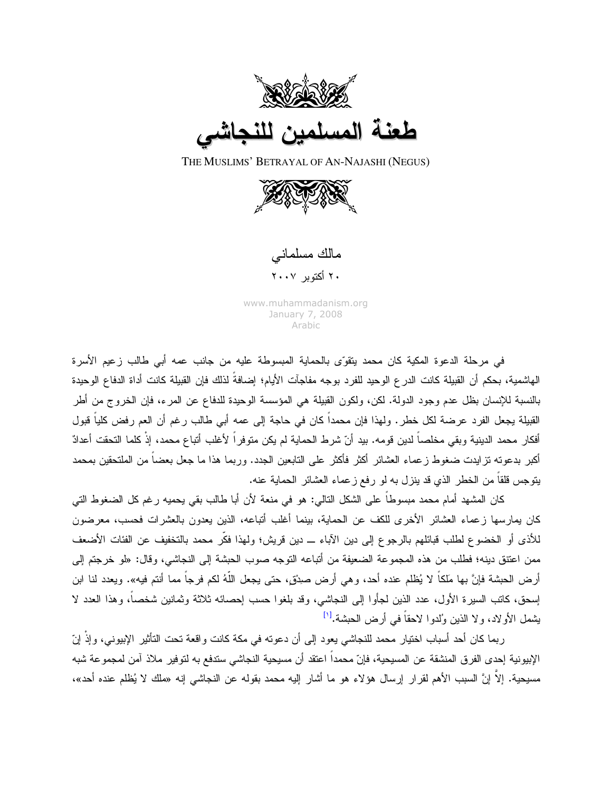

THE MUSLIMS' BETRAYAL OF AN-NAJASHI (NEGUS)



مالك مسلماني

۲۰ أكتوبر ۲۰۰۷

www.muhammadanism.org January 7, 2008 Arabic

في مرحلة الدعوة المكية كان محمد يتقوّى بالحماية المبسوطة عليه من جانب عمه أبي طالب زعيم الأسرة الهاشمية، بحكم أن القبيلة كانت الدرع الوحيد للفرد بوجه مفاجآت الأيام؛ إضافةً لذلك فإن القبيلة كانت أداة الدفاع الوحيدة بالنسبة للإنسان بظل عدم وجود الدولة. لكن، ولكون القبيلة هي المؤسسة الوحيدة للدفاع عن المرء، فإن الخروج من أطر القبيلة يجعل الفرد عرضة لكل خطر . ولهذا فإن محمداً كان في حاجة إلى عمه أبي طالب رغم أن العم رفض كلياً قبول أفكار محمد الدينية وبقى مخلصاً لدين قومه. بيد أنّ شرط الحماية لم يكن منوفراً لأغلب أتباع محمد، إذْ كلما التحقت أعدادً أكبر بدعوته تز ايدت ضغوط ز عماء العشائر أكثر فأكثر على التابعين الجدد. وربما هذا ما جعل بعضاً من الملتحقين بمحمد يتوجس قلقاً من الخطر الذي قد ينزل به لو رفع ز عماء العشائر الحماية عنه.

كان المشهد أمام محمد مبسوطاً على الشكل النالي: هو في منعة لأن أبا طالب بقي يحميه رغم كل الضغوط التي كان بمارسها زعماء العشائر الأخرى للكف عن الحماية، بينما أغلب أتباعه، الذين يعدون بالعشرات فحسب، معرضون للأذى أو الخضوع لطلب قبائلهم بالرجوع إلى دين الآباء ـــ دين قريش؛ ولهذا فكَّر محمد بالتخفيف عن الفئات الأضعف ممن اعتنق دينه؛ فطلب من هذه المجموعة الضعيفة من أتباعه التوجه صوب الحبشة إلى النجاشي، وقال: «لو خرجتم إلى أرض الحبشة فإنَّ بها ملكاً لا يُظلم عنده أحد، وهي أرض صدِيٍّ، حتى يجعل اللَّهُ لكم فرجاً مما أنتم فيه». ويعدد لنا ابن إسحق، كاتب السيرة الأول، عدد الذين لجأوا إلى النجاشي، وقد بلغوا حسب إحصائه ثلاثة وثمانين شخصاً، وهذا العدد لا بِشمل الأو لاد، و لا الذين وُلدو ا لاحقاً في أرض الحبشة.<sup>[۱]</sup>

ربما كان أحد أسباب اختيار محمد للنجاشي يعود إلى أن دعونه في مكة كانت واقعة تحت الناُثير الإبيوني، وإذْ إنّ الإبيونية إحدى الفرق المنشقة عن المسيحية، فإنّ محمداً اعتقد أن مسيحية النجاشي ستدفع به لتوفير ملاذ آمن لمجموعة شبه مسيحية. إلاّ إنَّ السبب الأهم لقرار إرسال هؤلاء هو ما أشار إليه محمد بقوله عن النجاشي إنه «ملك لا يُظلم عنده أحد»،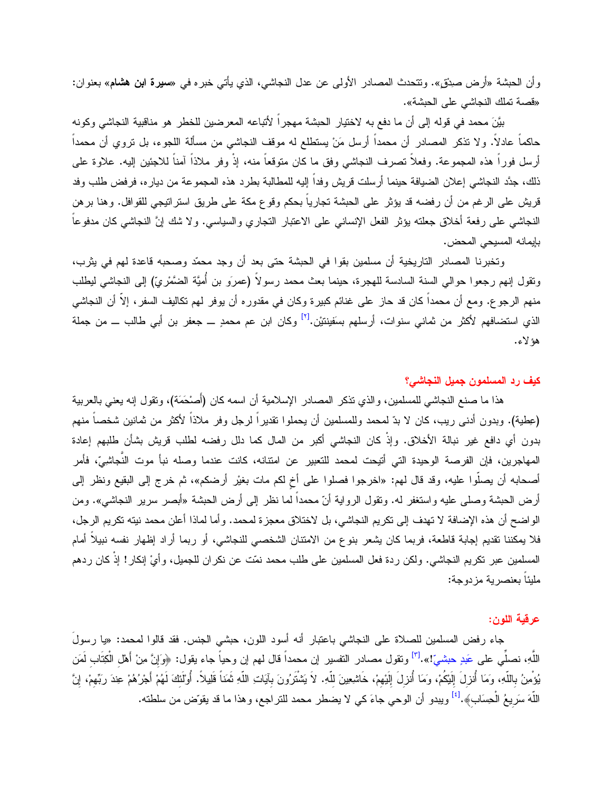وأن الحبشة «أرض صدِق». ونتحدث المصادر الأولى عن عدل النجاشي، الذي يأتي خبره في «**سيرة ابن هشام**» بعنوان: «قصة تملك النجاشي على الحبشة».

بيَّنَ محمد في قوله إلى أن ما دفع به لاختيار الحبشة مهجراً لأتباعه المعرضين للخطر هو مناقبية النجاشي وكونه حاكماً عادلاً. ولا نذكر المصـادر أن محمداً أرسل مَنْ يستطلع له موقف النجاشـي من مسألة اللـجوء، بل نزوي أن محمداً أرسل فوراً هذه المجموعة. وفعلاً نصرف النجاشي وفق ما كان متوقعاً منه، إذْ وفر ملاذاً آمناً للاجئين إليه. علاوة على ذلك، جدَّد النجاشي إعلان الضيافة حينما أرسلت قريش وفداً إليه للمطالبة بطر د هذه المجمو عة من ديار ه، فر فض طلب وفد قريش على الرغم من أن رفضه قد يؤثِّر على الحبشة تجارياً بحكم وقوع مكة على طريق استراتيجي للقوافل. وهنا برهن النجاشي على رفعة أخلاق جعلته يؤثر الفعل الإنساني على الاعتبار التجاري والسياسي. ولا شك إنَّ النجاشي كان مدفوعاً بإيمانه المسيحي المحض.

وتخبرنا المصادر التاريخية أن مسلمين بقوا في الحبشة حتى بعد أن وجد محمّد وصحبه قاعدة لهم في يثرب، ونقول إنهم رجعوا حوالى السنة السادسة للهجرة، حينما بعث محمد رسولاً (عمرَو بن أُميَّة الضَّمْرِيّ) إلى النجاشي ليطلب منهم الرجوع. ومع أن محمداً كان قد حاز على غنائم كبيرة وكان في مقدوره أن يوفر لمهم نكاليف السفر ، إلاّ أن النجاشي الذي استضافهم لأكثر من ثماني سنوات، أرسلهم بسَفينتيْن.<sup>[٢]</sup> وكان ابن عم محمدٍ ـــ جعفر بن أبي طالب ـــ من جملة هؤ لاء.

## كيف رد المسلمون جميل النجاشي؟

هذا ما صنع النجاشي للمسلمين، والذي تذكر المصـادر الإسلامية أن اسمه كان (أَصـْحَمَة)، وتقول إنه يعني بالعربية (عِطية). وبدون أدنى ريب، كان لا بدّ لمحمد وللمسلمين أن يحملوا تقديراً لرجل وفر ملاذاً لأكثر من ثمانين شخصاً منهم بدون أي دافع غير نبالة الأخلاق. وإذْ كان النجاشي أكبر من المال كما دلل رفضه لطلب قريش بشأن طلبهم إعادة المهاجرين، فإن الفرصة الوحيدة التي أتيحت لمحمد للتعبير عن امتنانه، كانت عندما وصله نبأ موت النَّجاشِيِّ، فأمر أصحابه أن يصلُّوا عليه، وقد قال لهم: «اخرجوا فصلوا على أخ لكم مات بغيْرٍ أرضكم»، ثم خرج إلى البقيع ونظر إلى أرض الحبشة وصلَّى عليه واستغفر له. وتقول الرواية أنَّ محمداً لما نظر إلى أرض الحبشة «أبصر سرير النجاشي». ومن الواضح أن هذه الإضافة لا تهدف إلى تكريم النجاشي، بل لاختلاق معجزة لمحمد. وأما لماذا أعلن محمد نيته تكريم الرجل، فلا يمكننا تقديم لِجابة قاطعة، فربما كان يشعر بنوع من الامتنان الشخصبي للنجاشي، أو ربما أراد إظهار نفسه نبيلاً أمام المسلمين عبر نكريم النجاشي. ولكن ردة فعل المسلمين على طلب محمد نمّت عن نكران للجميل، وأيْ إنكار! إذْ كان ردهم مليئاً بعنصرية مزدوجة:

## عرقية اللون:

جاء رفض المسلمين للصلاة على النجاشي باعتبار أنه أسود اللون، حبشى الجنس. فقد قالوا لمحمد: «يا رسولَ اللَّهِ، نصلِّي على عَبدِ حبشيّ!».<sup>[٣]</sup> ونقول مصـادر النفسير إن محمداً قال لمهم إن وحياً جاء يقول: ﴿وَإِنَّ مِنْ أهْلِ الْكِتَابِ لَمَن بُوْمِنُ بِاللَّهِ، وَمَا أُنزِلَ إِلَيْكُمْ، وَمَا أُنزِلَ إِلَيْهِمْ، خَاشِعِينَ لِلّهِ. لاَ يَشْتَرُونَ بِآيَاتِ اللّهِ ثَمَناً قَلِيلاً. أُوْلَئِكَ لَهُمْ أَجْرُهُمْ عِندَ رَبِّهِمْ، إِنَّ اللَّهَ سَرِيعُ الْحِسَابِ﴾.<sup>[٤]</sup> ويبدو أن الوحي جاءَ كي لا يضطر محمد للتراجع، و هذا ما قد يقوّض من سلطته.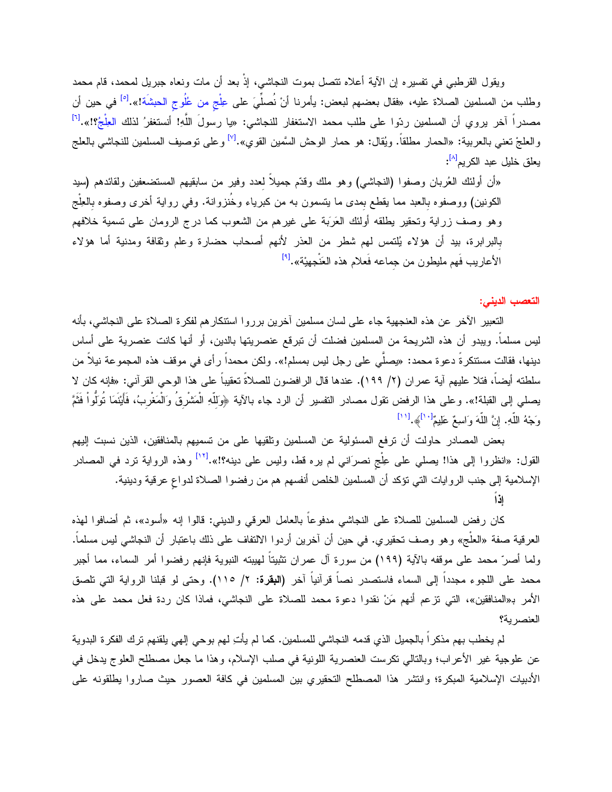ويقول القرطبي في نفسيره إن الآية أعلاه نتصل بموت النجاشي، إذْ بعد أن مات ونعاه جبريل لمحمد، قام محمد وطلب من المسلمين الصلاة عليه، «فقال بعضهم لبعض: يأمرنا أنْ نُصلِّيَ على عِلْج من عُلُوج الحبشَة!».<sup>[ه</sup>َا في حين أن مصدراً آخر يروي أن المسلمين ردّوا على طلب محمد الاستغفار للنجاشي: «يا رسولَ اللّهِ! أنستغفرُ لذلك العِلْجُ؟!».<sup>[٦]</sup> والعلجْ نعني بالعربية: «الحمار مطلقاً. ويُقال: هو حمار الوحش السَّمين القوي».<sup>[٧]</sup> وعلى نوصيف المسلمين للنجاشي بالعلج يعلق خليل عبد الكريم<sup>[٨]</sup>:

«أن أولئك العُربان وصفوا (النجاشي) وهو ملك وقدّم جميلاً لعدد وفير من سابقيهم المستضعفين ولقائدهم (سيد الكونين) ووصفوه بالعبد مما يقطع بمدى ما بتسمون به من كبرياء وخُنزوانة. وفي رواية أخرى وصفوه بالعِلْج وهو وصف زراية وتحقير بطلقه أولئك العَرَبَة على غيرهم من الشعوب كما درج الرومان على تسمية خلافهم بالبرابرة، بيد أن هؤلاء يُلتمس لهم شطر من العذر لأنهم أصحاب حضارة وعلم وثقافة ومدنية أما هؤلاء الأعاريب فَهم مليطون من جماعه فَعلام هذه العَنْجهيْة».<sup>[٩]</sup>

التعصب الديني:

النعبير الآخر عن هذه العنجهية جاء على لسان مسلمين أخرين برروا استنكارهم لفكرة الصلاة على النجاشي، بأنه ليس مسلماً. ويبدو أن هذه الشريحة من المسلمين فضلت أن نبرقع عنصريتها بالدين، أو أنها كانت عنصرية على أساس دينها، فقالت مستنكرةً دعوة محمد: «يصلَّى على رجل ليس بمسلم!». ولكن محمداً رأى في موقف هذه المجموعة نيلاً من سلطته أيضاً، فتلا عليهم آية عمران (٢/ ١٩٩). عندها قال الرافضون للصلاةَ تعقيباً على هذا الوحي القرآني: «فإنه كان لا يصلى إلى القبلة!». وعلى هذا الرفض تقول مصادر التفسير أن الرد جاء بالآية ﴿وَللَّهِ الْمَشْرِقُ وَالْمَغْربُ، فَأَيْنَمَا تُوَلُّواْ فَثَمَّ وَجْهُ اللَّهِ. إِنَّ اللَّهَ وَاسِعٌ عَلِيمٌ "اَ﴾.[11]

بعض المصادر حاولت أن نرفع المسئولية عن المسلمين وتلقيها على من نسميهم بالمنافقين، الذين نسبت إليهم القول: «انظروا إلى هذا! يصلي على عِلْج نصرَاني لم يره قط، وليس على دينه؟!».<sup>[١٢]</sup> وهذه الرواية نرد في المصادر الإسلامية إلى جنب الروايات التي نؤكد أن المسلمين الخلص أنفسهم هم من رفضوا الصلاة لدواع عرقية ودينية.

كان رفض المسلمين للصلاة على النجاشي مدفوعاً بالعامل العرقي والديني: قالوا إنه «أسود»، ثم أضافوا لهذه العرفية صفة «العلُّج» وهو وصف تحقيري. في حين أن آخرين أردوا الالتفاف على ذلك باعتبار أن النجاشي ليس مسلماً. ولما أصرٌ محمد على موقفه بالآية (١٩٩) من سورة آل عمران تثبيتاً لمهيبته النبوية فإنهم رفضوا أمر السماء، مما أجبر محمد على اللجوء مجدداً إلى السماء فاستصدر نصـاً قرآنياً آخر **(البقرة:** ٢/ ١١٥). وحتى لو قبلنا الرواية التي تلصق الأمر بـ«المنافقين»، التي نزعم أنهم مَنْ نقدوا دعوة محمد للصلاة على النجاشي، فماذا كان ردة فعل محمد على هذه العنصر بة؟

لم يخطب بهم مذكراً بالجميل الذي قدمه النجاشي للمسلمين. كما لم يأتِ لهم بوحي إلهي يلقنهم نزك الفكرة البدوية عن علوجية غير الأعراب؛ وبالتالي نكرست العنصرية اللونية في صلب الإسلام، وهذا ما جعل مصطلح العلوج يدخل في الأدبيات الإسلامية المبكرة؛ وانتشر هذا المصطلح التحقيري بين المسلمين في كافة العصور حيث صاروا يطلقونه على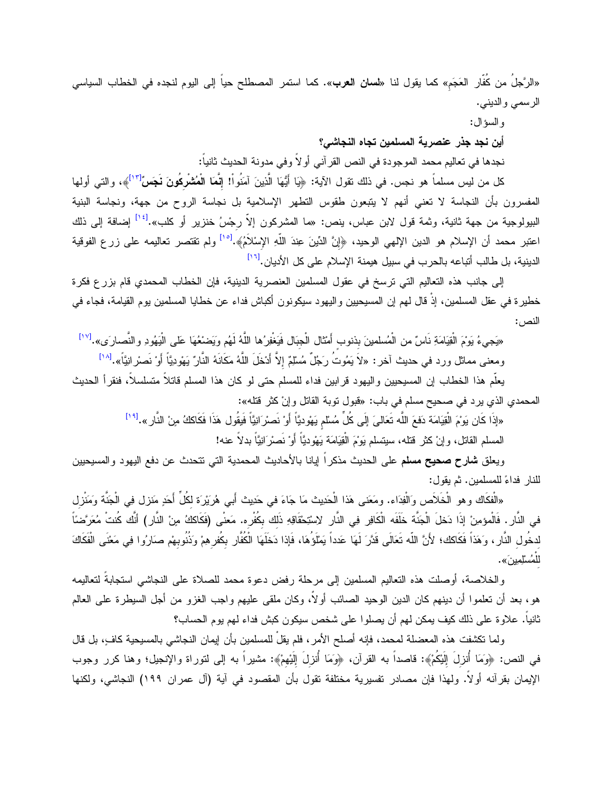«الرَّجلُ من كُفَّار العَجَم» كما يقول لنا «**لسان العرب**». كما استمر المصطلح حياً إلى اليوم لنجده في الخطاب السياسي الرسمي والديني.

و السؤ ال:

أين نجد جذر عنصرية المسلمين تجاه النجاشي؟

نجدها في تعاليم محمد الموجودة في النص القرآني أو لاً وفي مدونة الحديث ثانياً:

كل من ليس مسلماً هو نجس. في ذلك نقول الآية: ﴿يَا أَيُّهَا الَّذِينَ آمَنُواْ! إِ**نَّمَا الْمُشْرِكُونَ نَجَسٌ<sup>[١٣]</sup>﴾،** والتي أولها المفسرون بأن النجاسة لا تعني أنهم لا يتبعون طقوس التطهر الإسلامية بل نجاسة الروح من جهة، ونجاسة البنية البيولوجية من جهة ثانية، وثمة قول لابن عباس، ينص: «ما المشركون إلاّ رجْسُ خنزير أو كلب».<sup>[1</sup>'<sup>]</sup> إضافة إلى ذلك اعتبر محمد أن الإسلام هو الدين الإلهي الوحيد، ﴿إِنَّ الدِّينَ عِندَ اللَّهِ الإِسْلاَمُ﴾.<sup>[10]</sup> ولم تقتصر تعاليمه على زرع الفوقية الدينية، بل طالب أتباعه بالحرب في سبيل هيمنة الإسلام على كل الأديان.<sup>[17]</sup>

إلى جانب هذه التعاليم التي ترسخ في عقول المسلمين العنصرية الدينية، فإن الخطاب المحمدي قام بزرع فكرة خطيرة في عقل المسلمين، إذْ قال لمهم إن المسيحيين واليهود سيكونون أكباش فداء عن خطايا المسلمين يوم القيامة، فجاء في النص :

«يَجِيءُ يَوْمَ الْقِيَامَةِ نَاسٌ من الْمُسلمينَ بذنوب أَمْثال الْجبَال فَيَغْفِرُها اللَّهُ لَهُم وَيَضْعُهَا عَلَى الْبَهُودِ والنَّصارَى».<sup>[١٧]</sup> ومعنى مماثل ورد في حديث آخر: «لاَ يَمُوتُ رَجُلٌ مُسْلِمٌ إلاَّ أَدْخَلَ اللَّهُ مَكَانَهُ النَّارُ يَهْودِيَّا أَوْ نَصْرِانِيَّا».<sup>[۱۸</sup>]

يعلَّم هذا الخطاب إن المسيحيين واليهود قرابين فداء للمسلم حتى لو كان هذا المسلم قاتلاً متسلسلاً، فنقرأ الحديث المحمدي الذي يرد في صحيح مسلم في باب: «فبول نوبة القاتل وإنْ كثر قتله»:

«إذَا كَان يَوْمَ الْقِيَامَة دَفعَ اللَّه تَعَالىَ إِلَى كُلِّ مُسْلَم يَهْوديًّا أَوْ نَصرْ انِيًّا فَيَقُول هَذَا فَكَاككُ مِنْ النَّارِ ».<sup>[14]</sup>

المسلم القاتل، و إنْ كثر فقله، سبتسلم بَوْمَ الْقِبَامَة بَهْوديًّا أَوْ نَصِرْ ابْيًّا بِدلاً عنه!

ويعلق **شارح صحيح مسلم** على الحديث مذكراً إيانا بالأحاديث المحمدية التي تتحدث عن دفع اليهود والمسيحيين للنار فداءً للمسلمين. ثم يقول:

«الْفكَاك وهو الْخَلاَص وَالْفِدَاء. ومَعَنى هَذا الْحَدِيث مَا جَاءَ في حَدِيث أَبي هُرَيْرَة لكُلِّ أَحَدٍ مَنزل فِي الْجَنَّة وَمَنْزل في النَّارِ . فَالْمؤمِنْ إِذَا دَخلَ الْجَنَّة خَلَفَه الْكَافِرِ فِي النَّارِ لِاسْتِحْقَاقِهِ ذَلك بكُفْرِه. مَعنْى (فَكَاككُ مِنْ النَّارِ) أنَّك كُنتْ مُعَرَّضنًا لدخُول النَّارِ، وَهَذاً فَكَاكَك؛ لأَنَّ اللّه تَعَالَى قَدَّرَ لَهَا عَدداً يَمْلَؤُهَا، فَإِذا دَخَلَهَا الْكُفَّار بكُفرهِمْ وَذُنُوبهمْ صَارُوا فِي مَعْنَى الْفَكَاكَ ڵڵ<sup>ؙ</sup>ڡؙٮڷڵؚڡؚؾڹؘ».

والخلاصة، أوصلت هذه التعاليم المسلمين إلى مرحلة رفض دعوة محمد للصلاة على النجاشي استجابةً لتعاليمه هو، بعد أن تعلموا أن دينهم كان الدين الوحيد الصائب أولاً، وكان ملقى عليهم واجب الغزو من أجل السيطرة على العالم ثانياً. علاوة على ذلك كيف يمكن لهم أن يصلوا على شخص سيكون كبش فداء لهم يوم الحساب؟

ولما تكشفت هذه المعضلة لمحمد، فإنه أصلح الأمر ، فلم يقلْ للمسلمين بأن إيمان النجاشي بالمسيحية كافٍ، بل قال في النص: ﴿وَمَا أُنزِلَ الِلَيْكُمْ﴾: قاصداً به القرآن، ﴿وَمَا أُنزِلَ اللَّيهمْ﴾: مشيراً به إلى لتوراة والإنجيل؛ وهنا كرر وجوب الإيمان بقرآنه أولاً. ولهذا فإن مصادر تفسيرية مختلفة تقول بأن المقصود في آية (آل عمران ١٩٩) النجاشي، ولكنها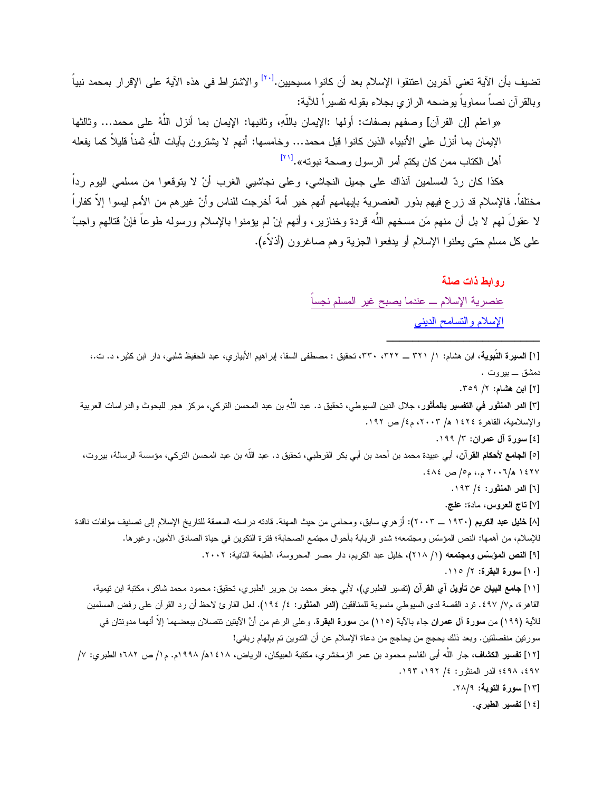تضيف بأن الآية تعني آخرين اعتنقوا الإسلام بعد أن كانوا مسيحيين.<sup>[٢٠]</sup> والاشتراط في هذه الآية على الإقرار بمحمد نبياً وبالقرآن نصباً سماوياً بوضحه الرازي بجلاء بقوله تفسير اً للآية:

«واعلم [إن القرآن] وصفهم بصفات: أولها :الإيمان باللَّهِ، وثانيها: الإيمان بما أنزل اللَّهُ على محمد... وثالثها الإيمان بما أنزل على الأنبياء الذين كانوا قبل محمد… وخامسها: أنهم لا يشترون بآيات اللَّهِ ثمناً قليلاً كما يفعله أهل الكتاب ممن كان يكتم أمر الرسول وصحة نبوته».<sup>[۲۱]</sup>

هكذا كان ردِّ المسلمين أنذاك على جميل النجاشي، وعلى نجاشيبي الغرب أنْ لا يتوقعوا من مسلمي اليوم رداً مختلفاً. فالإسلام قد زرع فيهم بذور العنصرية بإيهامهم أنهم خير أمة أخرجت للناس وأنّ غيرهم من الأمم ليسوا إلاّ كفاراً لا عقولَ لمهم لا بل أن منهم مَن مسخهم اللَّه قردة وخنازير ، وأنهم إنْ لم يؤمنوا بالإسلام ورسوله طوعاً فإنَّ قتالهم واجبّ على كل مسلم حتى يعلنوا الإسلام أو يدفعوا الجزية وهم صاغرون (أذلاَّء).

روابط ذات صلة

عنصرية الإسلام ـــ عندما يصبح غير المسلم نجسا الإسلام والتسامح الديني

[۱] ال**سيرة النّبوية**، ابن هشام: ۱/ ۳۲۱ ـــ ۳۳۲، ۳۳۰، تحقيق : مصطفى السقا، إبراهيم الأبياري، عبد الحفيظ شلبي، دار ابن كثير، د. ت.، دمشق \_ بیر و ت

[۲] ابن هشام: ۲/ ۳۰۹.

[٣] ا**لدر المنثور في التفسير بالمأثور،** جلال الدين السيوطي، تحقيق د. عبد اللّهِ بن عبد المحسن التركي، مركز هجر للبحوث والدراسات العربية والإسلامية، القاهرة ١٤٢٤ هـ/ ٢٠٠٣، م٤/ ص ١٩٢.

[٤] سورة آل عمران: ٣/ ١٩٩.

[٥] ا**لجامع لأحكام القر**آن، أبي عبيدة محمد بن أحمد بن أبي بكر القرطبي، تحقيق د. عبد الله بن عبد المحسن التركي، مؤسسة الرسالة، بيروت، ١٤٢٧ ه/٢٠٠٦ م.، م٥/ ص ٤٨٤.

[٦] الدر المنثور: ٤/ ١٩٣.

[٧] ناج العروس، مادة: علج.

[٨] **خليل عبد الكريم (١٩٣٠ \_ ٢٠٠٣):** أز هري سابق، ومحامي من حيث المهنة. قادته در استه المعمقة للتاريخ الإسلام إلى تصنيف مؤلفات ناقدة للإسلام، من أهمها: النص المؤسِّس ومجتمعه؛ شدو الربابة بأحوال مجتمع الصحابة؛ فترة النكوين في حياة الصادق الأمين. وغيرها. [۹] النص المؤسِّس ومجتمعه (١/ ٢١٨)، خليل عبد الكريم، دار مصر المحروسة، الطبعة الثانية: ٢٠٠٢.

[١٠] سورة البقرة: ٢/ ١١٥.

[۱۱] **جامع البيان عن تأويل آي القرآن (**تفسير الطبري)، لأبي جعفر محمد بن جرير الطبري، تحقيق: محمود محمد شاكر، مكتبة ابن نيمية، القاهرة، م٧/ ٤٩٧. نرد القصة لدى السيوطي منسوبة للمنافقين **(الدر المنثور:** ٤/ ١٩٤). لعل القارئ لاحظ أن رد القرآن على رفض المسلمين للآية (١٩٩) من **سورة آل عمران** جاء بالآية (١١٥) من **سورة البقرة**. وعلى الرغم من أنَّ الآيتين تتصلان ببعضهما إلاّ أنهما مدونتان في سورتين منفصلتين. وبعد ذلك يحجج من يحاجج من دعاة الإسلام عن أن التدوين تم بإلهام رباني!

[١٢] **تفسير الكشاف،** جار اللّه أبي القاسم محمود بن عمر الزمخشري، مكتبة العبيكان، الرياض، ١٤١٨هـ/ ١٩٩٨م. م١/ ص ١٨٢؛ الطبري: ٧/ ٤٩٧، ٤٩٨؛ الدر المنثور: ٤/ ١٩٢، ١٩٣.

[١٣] سورة التوبة: ٢٨/٩.

[١٤] تفسير الطبرى.